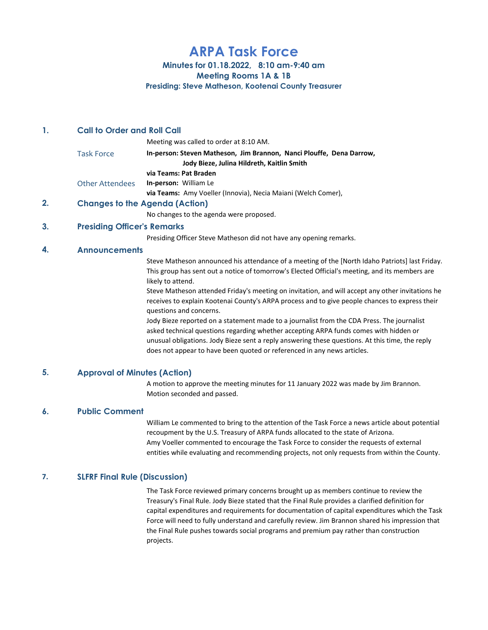# ARPA Task Force

## Minutes for 01.18.2022, 8:10 am-9:40 am

Meeting Rooms 1A & 1B

Presiding: Steve Matheson, Kootenai County Treasurer

# 1. Call to Order and Roll Call

|                 | Meeting was called to order at 8:10 AM.                              |
|-----------------|----------------------------------------------------------------------|
| Task Force      | In-person: Steven Matheson, Jim Brannon, Nanci Plouffe, Dena Darrow, |
|                 | Jody Bieze, Julina Hildreth, Kaitlin Smith                           |
|                 | via Teams: Pat Braden                                                |
| Other Attendees | <b>In-person: William Le</b>                                         |
|                 | via Teams: Amy Voeller (Innovia), Necia Maiani (Welch Comer),        |
|                 | Chanage to the Agenda (Action)                                       |

2. Changes to the Agenda (Action)

No changes to the agenda were proposed.

# 3. Presiding Officer's Remarks

Presiding Officer Steve Matheson did not have any opening remarks.

# 4. Announcements

Steve Matheson announced his attendance of a meeting of the [North Idaho Patriots] last Friday. This group has sent out a notice of tomorrow's Elected Official's meeting, and its members are likely to attend.

Steve Matheson attended Friday's meeting on invitation, and will accept any other invitations he receives to explain Kootenai County's ARPA process and to give people chances to express their questions and concerns.

Jody Bieze reported on a statement made to a journalist from the CDA Press. The journalist asked technical questions regarding whether accepting ARPA funds comes with hidden or unusual obligations. Jody Bieze sent a reply answering these questions. At this time, the reply does not appear to have been quoted or referenced in any news articles.

# 5. Approval of Minutes (Action)

A motion to approve the meeting minutes for 11 January 2022 was made by Jim Brannon. Motion seconded and passed.

### 6. Public Comment

William Le commented to bring to the attention of the Task Force a news article about potential recoupment by the U.S. Treasury of ARPA funds allocated to the state of Arizona. Amy Voeller commented to encourage the Task Force to consider the requests of external entities while evaluating and recommending projects, not only requests from within the County.

# 7. SLFRF Final Rule (Discussion)

The Task Force reviewed primary concerns brought up as members continue to review the Treasury's Final Rule. Jody Bieze stated that the Final Rule provides a clarified definition for capital expenditures and requirements for documentation of capital expenditures which the Task Force will need to fully understand and carefully review. Jim Brannon shared his impression that the Final Rule pushes towards social programs and premium pay rather than construction projects.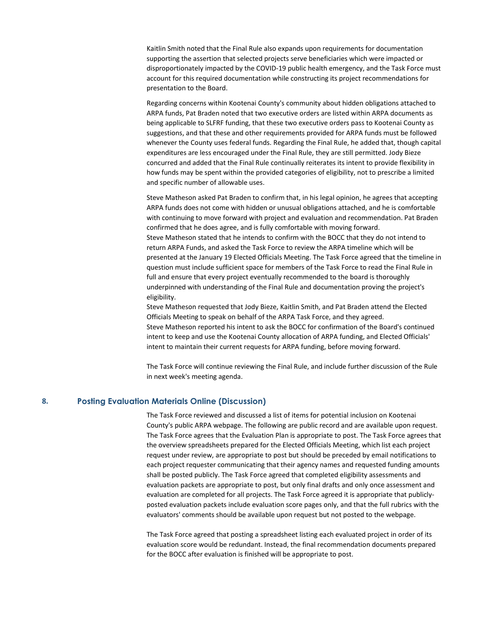Kaitlin Smith noted that the Final Rule also expands upon requirements for documentation supporting the assertion that selected projects serve beneficiaries which were impacted or disproportionately impacted by the COVID-19 public health emergency, and the Task Force must account for this required documentation while constructing its project recommendations for presentation to the Board.

Regarding concerns within Kootenai County's community about hidden obligations attached to ARPA funds, Pat Braden noted that two executive orders are listed within ARPA documents as being applicable to SLFRF funding, that these two executive orders pass to Kootenai County as suggestions, and that these and other requirements provided for ARPA funds must be followed whenever the County uses federal funds. Regarding the Final Rule, he added that, though capital expenditures are less encouraged under the Final Rule, they are still permitted. Jody Bieze concurred and added that the Final Rule continually reiterates its intent to provide flexibility in how funds may be spent within the provided categories of eligibility, not to prescribe a limited and specific number of allowable uses.

Steve Matheson asked Pat Braden to confirm that, in his legal opinion, he agrees that accepting ARPA funds does not come with hidden or unusual obligations attached, and he is comfortable with continuing to move forward with project and evaluation and recommendation. Pat Braden confirmed that he does agree, and is fully comfortable with moving forward. Steve Matheson stated that he intends to confirm with the BOCC that they do not intend to return ARPA Funds, and asked the Task Force to review the ARPA timeline which will be presented at the January 19 Elected Officials Meeting. The Task Force agreed that the timeline in question must include sufficient space for members of the Task Force to read the Final Rule in full and ensure that every project eventually recommended to the board is thoroughly underpinned with understanding of the Final Rule and documentation proving the project's eligibility.

Steve Matheson requested that Jody Bieze, Kaitlin Smith, and Pat Braden attend the Elected Officials Meeting to speak on behalf of the ARPA Task Force, and they agreed. Steve Matheson reported his intent to ask the BOCC for confirmation of the Board's continued intent to keep and use the Kootenai County allocation of ARPA funding, and Elected Officials' intent to maintain their current requests for ARPA funding, before moving forward.

The Task Force will continue reviewing the Final Rule, and include further discussion of the Rule in next week's meeting agenda.

#### 8. Posting Evaluation Materials Online (Discussion)

The Task Force reviewed and discussed a list of items for potential inclusion on Kootenai County's public ARPA webpage. The following are public record and are available upon request. The Task Force agrees that the Evaluation Plan is appropriate to post. The Task Force agrees that the overview spreadsheets prepared for the Elected Officials Meeting, which list each project request under review, are appropriate to post but should be preceded by email notifications to each project requester communicating that their agency names and requested funding amounts shall be posted publicly. The Task Force agreed that completed eligibility assessments and evaluation packets are appropriate to post, but only final drafts and only once assessment and evaluation are completed for all projects. The Task Force agreed it is appropriate that publiclyposted evaluation packets include evaluation score pages only, and that the full rubrics with the evaluators' comments should be available upon request but not posted to the webpage.

The Task Force agreed that posting a spreadsheet listing each evaluated project in order of its evaluation score would be redundant. Instead, the final recommendation documents prepared for the BOCC after evaluation is finished will be appropriate to post.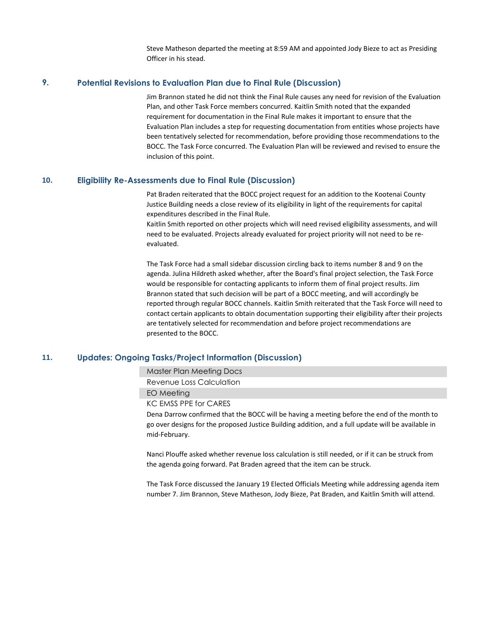Steve Matheson departed the meeting at 8:59 AM and appointed Jody Bieze to act as Presiding Officer in his stead.

## 9. Potential Revisions to Evaluation Plan due to Final Rule (Discussion)

Jim Brannon stated he did not think the Final Rule causes any need for revision of the Evaluation Plan, and other Task Force members concurred. Kaitlin Smith noted that the expanded requirement for documentation in the Final Rule makes it important to ensure that the Evaluation Plan includes a step for requesting documentation from entities whose projects have been tentatively selected for recommendation, before providing those recommendations to the BOCC. The Task Force concurred. The Evaluation Plan will be reviewed and revised to ensure the inclusion of this point.

#### 10. Eligibility Re-Assessments due to Final Rule (Discussion)

Pat Braden reiterated that the BOCC project request for an addition to the Kootenai County Justice Building needs a close review of its eligibility in light of the requirements for capital expenditures described in the Final Rule.

Kaitlin Smith reported on other projects which will need revised eligibility assessments, and will need to be evaluated. Projects already evaluated for project priority will not need to be reevaluated.

The Task Force had a small sidebar discussion circling back to items number 8 and 9 on the agenda. Julina Hildreth asked whether, after the Board's final project selection, the Task Force would be responsible for contacting applicants to inform them of final project results. Jim Brannon stated that such decision will be part of a BOCC meeting, and will accordingly be reported through regular BOCC channels. Kaitlin Smith reiterated that the Task Force will need to contact certain applicants to obtain documentation supporting their eligibility after their projects are tentatively selected for recommendation and before project recommendations are presented to the BOCC.

### 11. Updates: Ongoing Tasks/Project Information (Discussion)

Master Plan Meeting Docs

Revenue Loss Calculation

EO Meeting

KC EMSS PPE for CARES

Dena Darrow confirmed that the BOCC will be having a meeting before the end of the month to go over designs for the proposed Justice Building addition, and a full update will be available in mid-February.

Nanci Plouffe asked whether revenue loss calculation is still needed, or if it can be struck from the agenda going forward. Pat Braden agreed that the item can be struck.

The Task Force discussed the January 19 Elected Officials Meeting while addressing agenda item number 7. Jim Brannon, Steve Matheson, Jody Bieze, Pat Braden, and Kaitlin Smith will attend.